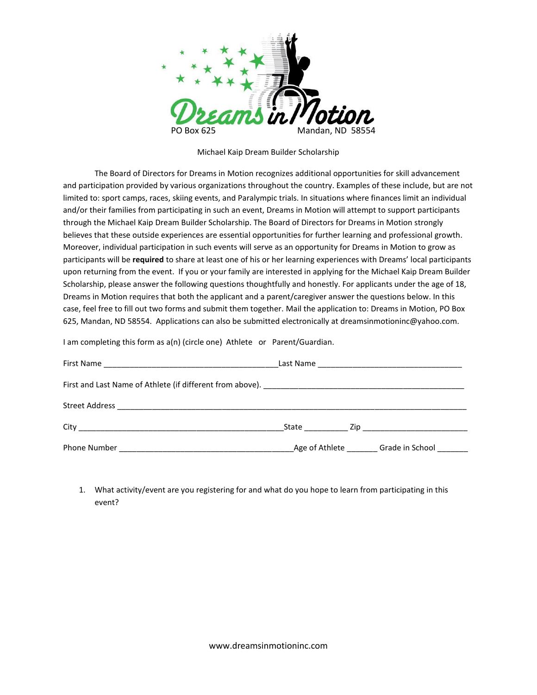

Michael Kaip Dream Builder Scholarship

The Board of Directors for Dreams in Motion recognizes additional opportunities for skill advancement and participation provided by various organizations throughout the country. Examples of these include, but are not limited to: sport camps, races, skiing events, and Paralympic trials. In situations where finances limit an individual and/or their families from participating in such an event, Dreams in Motion will attempt to support participants through the Michael Kaip Dream Builder Scholarship. The Board of Directors for Dreams in Motion strongly believes that these outside experiences are essential opportunities for further learning and professional growth. Moreover, individual participation in such events will serve as an opportunity for Dreams in Motion to grow as participants will be **required** to share at least one of his or her learning experiences with Dreams' local participants upon returning from the event. If you or your family are interested in applying for the Michael Kaip Dream Builder Scholarship, please answer the following questions thoughtfully and honestly. For applicants under the age of 18, Dreams in Motion requires that both the applicant and a parent/caregiver answer the questions below. In this case, feel free to fill out two forms and submit them together. Mail the application to: Dreams in Motion, PO Box 625, Mandan, ND 58554. Applications can also be submitted electronically at dreamsinmotioninc@yahoo.com.

I am completing this form as a(n) (circle one) Athlete or Parent/Guardian.

|                                                                                                             |  | State Zip |
|-------------------------------------------------------------------------------------------------------------|--|-----------|
| Phone Number Communication and Communication and Age of Athlete Communication Grade in School Communication |  |           |

1. What activity/event are you registering for and what do you hope to learn from participating in this event?